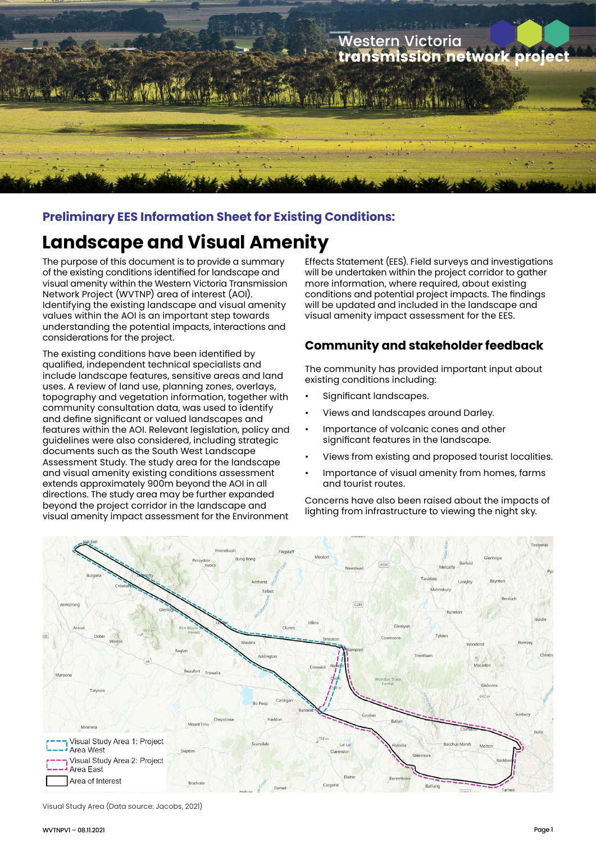

#### **Preliminary EES Information Sheet for Existing Conditions:**

# **Landscape and Visual Amenity**

The purpose of this document is to provide a summary of the existing conditions identified for landscape and visual amenity within the Western Victoria Transmission Network Project (WVTNP) area of interest (AOI). Identifying the existing landscape and visual amenity values within the AOI is an important step towards understanding the potential impacts, interactions and considerations for the project.

The existing conditions have been identified by qualified, independent technical specialists and include landscape features, sensitive areas and land uses. A review of land use, planning zones, overlays, topography and vegetation information, together with community consultation data, was used to identify and define significant or valued landscapes and features within the AOI. Relevant legislation, policy and guidelines were also considered, including strategic documents such as the South West Landscape Assessment Study. The study area for the landscape and visual amenity existing conditions assessment extends approximately 900m beyond the AOI in all directions. The study area may be further expanded beyond the project corridor in the landscape and visual amenity impact assessment for the Environment

Effects Statement (EES). Field surveys and investigations will be undertaken within the project corridor to gather more information, where required, about existing conditions and potential project impacts. The findings will be updated and included in the landscape and visual amenity impact assessment for the EES.

### **Community and stakeholder feedback**

The community has provided important input about existing conditions including:

- Significant landscapes.
- Views and landscapes around Darley.
- Importance of volcanic cones and other significant features in the landscape.
- Views from existing and proposed tourist localities.
- Importance of visual amenity from homes, farms and tourist routes.

Concerns have also been raised about the impacts of lighting from infrastructure to viewing the night sky.



Visual Study Area (Data source: Jacobs, 2021)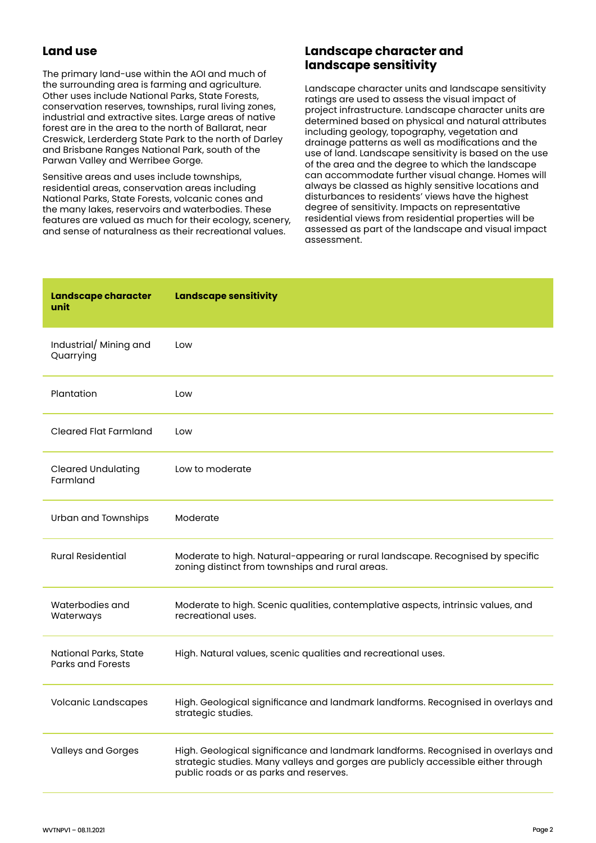#### **Land use**

The primary land-use within the AOI and much of the surrounding area is farming and agriculture. Other uses include National Parks, State Forests, conservation reserves, townships, rural living zones, industrial and extractive sites. Large areas of native forest are in the area to the north of Ballarat, near Creswick, Lerderderg State Park to the north of Darley and Brisbane Ranges National Park, south of the Parwan Valley and Werribee Gorge.

Sensitive areas and uses include townships, residential areas, conservation areas including National Parks, State Forests, volcanic cones and the many lakes, reservoirs and waterbodies. These features are valued as much for their ecology, scenery, and sense of naturalness as their recreational values.

#### **Landscape character and landscape sensitivity**

Landscape character units and landscape sensitivity ratings are used to assess the visual impact of project infrastructure. Landscape character units are determined based on physical and natural attributes including geology, topography, vegetation and drainage patterns as well as modifications and the use of land. Landscape sensitivity is based on the use of the area and the degree to which the landscape can accommodate further visual change. Homes will always be classed as highly sensitive locations and disturbances to residents' views have the highest degree of sensitivity. Impacts on representative residential views from residential properties will be assessed as part of the landscape and visual impact assessment.

| Landscape character<br>unit                       | <b>Landscape sensitivity</b>                                                                                                                                                                                    |
|---------------------------------------------------|-----------------------------------------------------------------------------------------------------------------------------------------------------------------------------------------------------------------|
| Industrial/ Mining and<br>Quarrying               | Low                                                                                                                                                                                                             |
| Plantation                                        | Low                                                                                                                                                                                                             |
| <b>Cleared Flat Farmland</b>                      | Low                                                                                                                                                                                                             |
| <b>Cleared Undulating</b><br>Farmland             | Low to moderate                                                                                                                                                                                                 |
| Urban and Townships                               | Moderate                                                                                                                                                                                                        |
| <b>Rural Residential</b>                          | Moderate to high. Natural-appearing or rural landscape. Recognised by specific<br>zoning distinct from townships and rural areas.                                                                               |
| Waterbodies and<br>Waterways                      | Moderate to high. Scenic qualities, contemplative aspects, intrinsic values, and<br>recreational uses.                                                                                                          |
| National Parks, State<br><b>Parks and Forests</b> | High. Natural values, scenic qualities and recreational uses.                                                                                                                                                   |
| Volcanic Landscapes                               | High. Geological significance and landmark landforms. Recognised in overlays and<br>strategic studies.                                                                                                          |
| <b>Valleys and Gorges</b>                         | High. Geological significance and landmark landforms. Recognised in overlays and<br>strategic studies. Many valleys and gorges are publicly accessible either through<br>public roads or as parks and reserves. |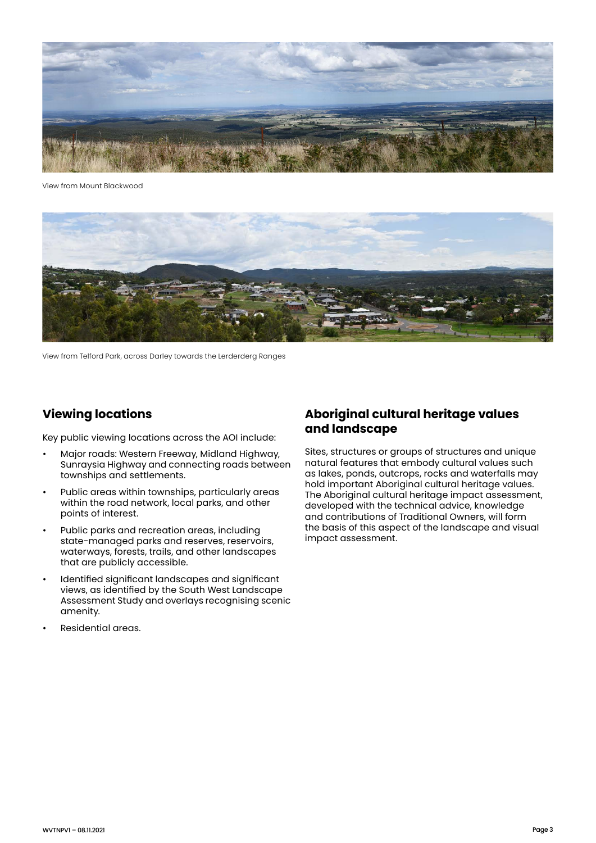

View from Mount Blackwood



View from Telford Park, across Darley towards the Lerderderg Ranges

#### **Viewing locations**

Key public viewing locations across the AOI include:

- Major roads: Western Freeway, Midland Highway, Sunraysia Highway and connecting roads between townships and settlements.
- Public areas within townships, particularly areas within the road network, local parks, and other points of interest.
- Public parks and recreation areas, including state-managed parks and reserves, reservoirs, waterways, forests, trails, and other landscapes that are publicly accessible.
- Identified significant landscapes and significant views, as identified by the South West Landscape Assessment Study and overlays recognising scenic amenity.
- Residential areas.

#### **Aboriginal cultural heritage values and landscape**

Sites, structures or groups of structures and unique natural features that embody cultural values such as lakes, ponds, outcrops, rocks and waterfalls may hold important Aboriginal cultural heritage values. The Aboriginal cultural heritage impact assessment, developed with the technical advice, knowledge and contributions of Traditional Owners, will form the basis of this aspect of the landscape and visual impact assessment.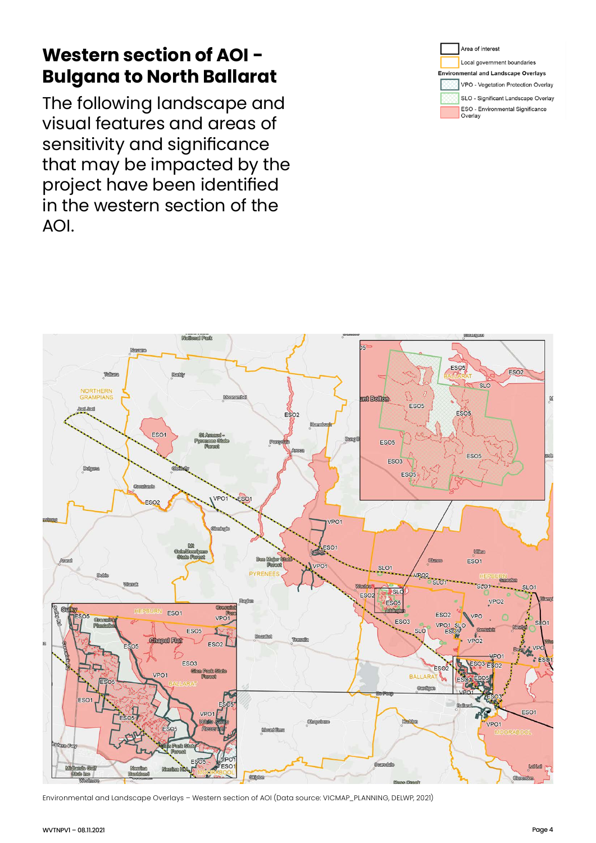# **Western section of AOI - Bulgana to North Ballarat**

The following landscape and visual features and areas of sensitivity and significance that may be impacted by the project have been identified in the western section of the AOI.





Environmental and Landscape Overlays – Western section of AOI (Data source: VICMAP\_PLANNING, DELWP, 2021)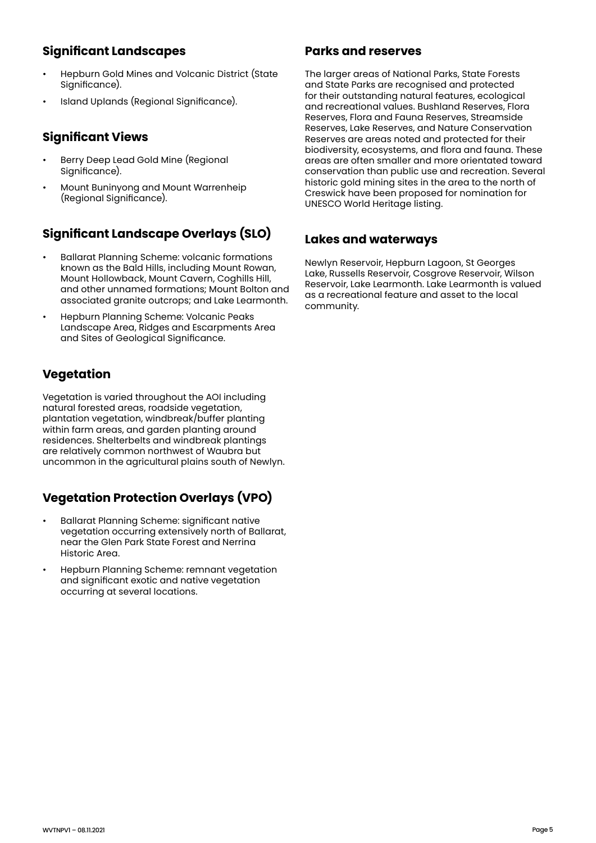# **Significant Landscapes**

- Hepburn Gold Mines and Volcanic District (State Significance).
- Island Uplands (Regional Significance).

## **Significant Views**

- Berry Deep Lead Gold Mine (Regional Significance).
- Mount Buninyong and Mount Warrenheip (Regional Significance).

# **Significant Landscape Overlays (SLO)**

- Ballarat Planning Scheme: volcanic formations known as the Bald Hills, including Mount Rowan, Mount Hollowback, Mount Cavern, Coghills Hill, and other unnamed formations; Mount Bolton and associated granite outcrops; and Lake Learmonth.
- Hepburn Planning Scheme: Volcanic Peaks Landscape Area, Ridges and Escarpments Area and Sites of Geological Significance.

# **Vegetation**

Vegetation is varied throughout the AOI including natural forested areas, roadside vegetation, plantation vegetation, windbreak/buffer planting within farm areas, and garden planting around residences. Shelterbelts and windbreak plantings are relatively common northwest of Waubra but uncommon in the agricultural plains south of Newlyn.

# **Vegetation Protection Overlays (VPO)**

- Ballarat Planning Scheme: significant native vegetation occurring extensively north of Ballarat, near the Glen Park State Forest and Nerrina Historic Area.
- Hepburn Planning Scheme: remnant vegetation and significant exotic and native vegetation occurring at several locations.

#### **Parks and reserves**

The larger areas of National Parks, State Forests and State Parks are recognised and protected for their outstanding natural features, ecological and recreational values. Bushland Reserves, Flora Reserves, Flora and Fauna Reserves, Streamside Reserves, Lake Reserves, and Nature Conservation Reserves are areas noted and protected for their biodiversity, ecosystems, and flora and fauna. These areas are often smaller and more orientated toward conservation than public use and recreation. Several historic gold mining sites in the area to the north of Creswick have been proposed for nomination for UNESCO World Heritage listing.

### **Lakes and waterways**

Newlyn Reservoir, Hepburn Lagoon, St Georges Lake, Russells Reservoir, Cosgrove Reservoir, Wilson Reservoir, Lake Learmonth. Lake Learmonth is valued as a recreational feature and asset to the local community.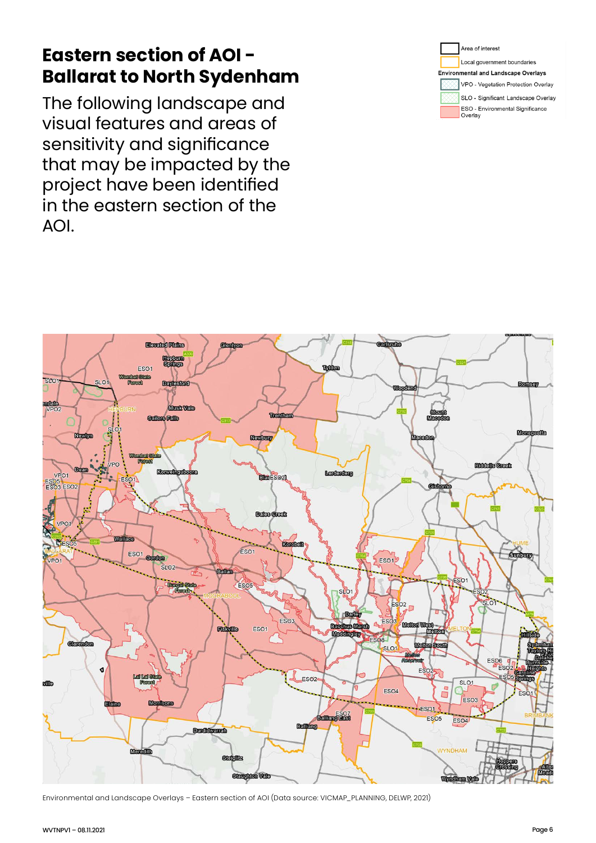# **Eastern section of AOI - Ballarat to North Sydenham**

The following landscape and visual features and areas of sensitivity and significance that may be impacted by the project have been identified in the eastern section of the AOI.





Environmental and Landscape Overlays – Eastern section of AOI (Data source: VICMAP\_PLANNING, DELWP, 2021)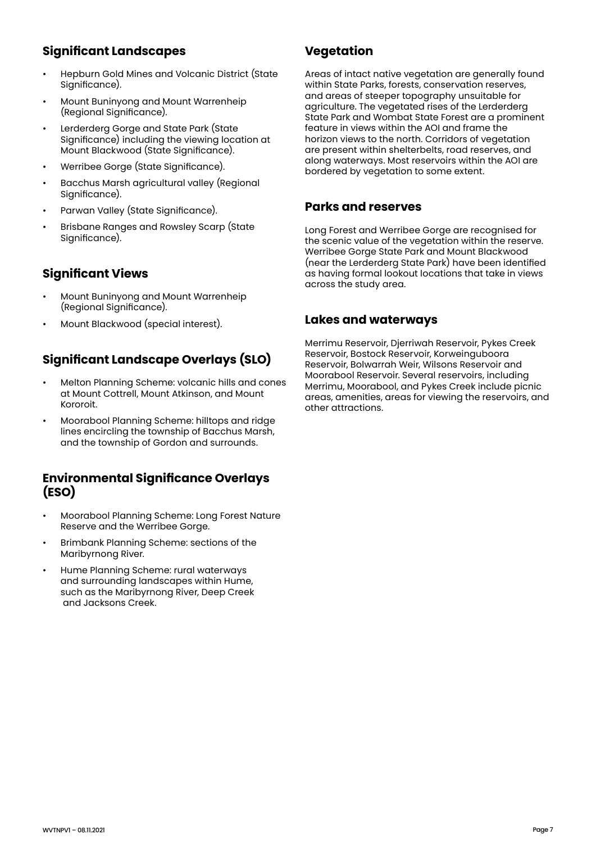# **Significant Landscapes**

- Hepburn Gold Mines and Volcanic District (State Significance).
- Mount Buninyong and Mount Warrenheip (Regional Significance).
- Lerderderg Gorge and State Park (State Significance) including the viewing location at Mount Blackwood (State Significance).
- Werribee Gorge (State Significance).
- Bacchus Marsh agricultural valley (Regional Significance).
- Parwan Valley (State Significance).
- Brisbane Ranges and Rowsley Scarp (State Sianificance).

# **Significant Views**

- Mount Buninyong and Mount Warrenheip (Regional Significance).
- Mount Blackwood (special interest).

# **Significant Landscape Overlays (SLO)**

- Melton Planning Scheme: volcanic hills and cones at Mount Cottrell, Mount Atkinson, and Mount Kororoit.
- Moorabool Planning Scheme: hilltops and ridge lines encircling the township of Bacchus Marsh, and the township of Gordon and surrounds.

#### **Environmental Significance Overlays (ESO)**

- Moorabool Planning Scheme: Long Forest Nature Reserve and the Werribee Gorge.
- Brimbank Planning Scheme: sections of the Maribyrnong River.
- Hume Planning Scheme: rural waterways and surrounding landscapes within Hume, such as the Maribyrnong River, Deep Creek and Jacksons Creek.

# **Vegetation**

Areas of intact native vegetation are generally found within State Parks, forests, conservation reserves, and areas of steeper topography unsuitable for agriculture. The vegetated rises of the Lerderderg State Park and Wombat State Forest are a prominent feature in views within the AOI and frame the horizon views to the north. Corridors of vegetation are present within shelterbelts, road reserves, and along waterways. Most reservoirs within the AOI are bordered by vegetation to some extent.

#### **Parks and reserves**

Long Forest and Werribee Gorge are recognised for the scenic value of the vegetation within the reserve. Werribee Gorge State Park and Mount Blackwood (near the Lerderderg State Park) have been identified as having formal lookout locations that take in views across the study area.

#### **Lakes and waterways**

Merrimu Reservoir, Djerriwah Reservoir, Pykes Creek Reservoir, Bostock Reservoir, Korweinguboora Reservoir, Bolwarrah Weir, Wilsons Reservoir and Moorabool Reservoir. Several reservoirs, including Merrimu, Moorabool, and Pykes Creek include picnic areas, amenities, areas for viewing the reservoirs, and other attractions.